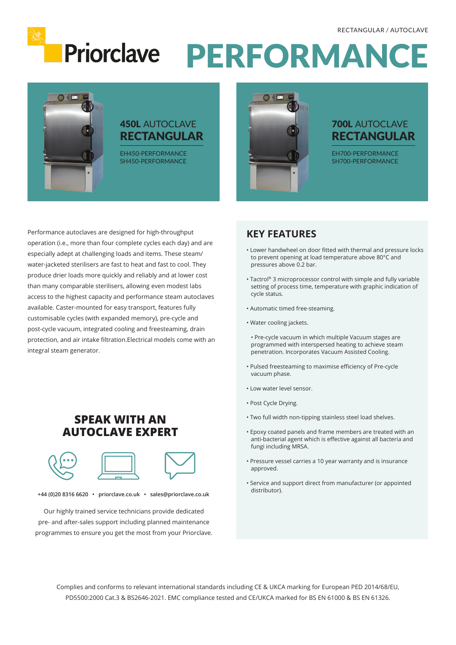

# Priorclave PERFORMANCE



#### 450L AUTOCLAVE RECTANGULAR

EH450-PERFORMANCE SH450-PERFORMANCE



#### 700L AUTOCLAVE RECTANGULAR

EH700-PERFORMANCE SH700-PERFORMANCE

Performance autoclaves are designed for high-throughput operation (i.e., more than four complete cycles each day) and are especially adept at challenging loads and items. These steam/ water-jacketed sterilisers are fast to heat and fast to cool. They produce drier loads more quickly and reliably and at lower cost than many comparable sterilisers, allowing even modest labs access to the highest capacity and performance steam autoclaves available. Caster-mounted for easy transport, features fully customisable cycles (with expanded memory), pre-cycle and post-cycle vacuum, integrated cooling and freesteaming, drain protection, and air intake filtration.Electrical models come with an integral steam generator.

### **SPEAK WITH AN AUTOCLAVE EXPERT**



**+44 (0)20 8316 6620 • priorclave.co.uk • sales@priorclave.co.uk**

Our highly trained service technicians provide dedicated pre- and after-sales support including planned maintenance programmes to ensure you get the most from your Priorclave.

#### **KEY FEATURES**

- Lower handwheel on door fitted with thermal and pressure locks to prevent opening at load temperature above 80°C and pressures above 0.2 bar.
- Tactrol® 3 microprocessor control with simple and fully variable setting of process time, temperature with graphic indication of cycle status.
- Automatic timed free-steaming.
- Water cooling jackets.
- Pre-cycle vacuum in which multiple Vacuum stages are programmed with interspersed heating to achieve steam penetration. Incorporates Vacuum Assisted Cooling.
- Pulsed freesteaming to maximise efficiency of Pre-cycle vacuum phase.
- Low water level sensor.
- Post Cycle Drying.
- Two full width non-tipping stainless steel load shelves.
- Epoxy coated panels and frame members are treated with an anti-bacterial agent which is effective against all bacteria and fungi including MRSA.
- Pressure vessel carries a 10 year warranty and is insurance approved.
- Service and support direct from manufacturer (or appointed distributor).

Complies and conforms to relevant international standards including CE & UKCA marking for European PED 2014/68/EU, PD5500:2000 Cat.3 & BS2646-2021. EMC compliance tested and CE/UKCA marked for BS EN 61000 & BS EN 61326.